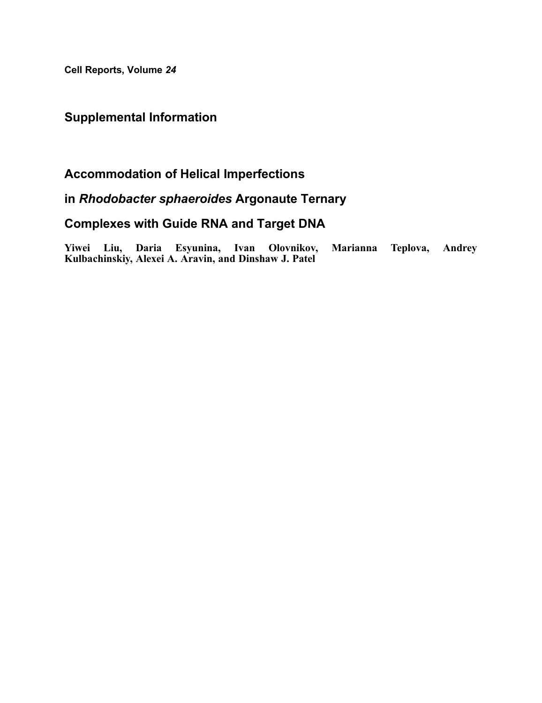Cell Reports, Volume 24

# Supplemental Information

# Accommodation of Helical Imperfections

# in Rhodobacter sphaeroides Argonaute Ternary

# Complexes with Guide RNA and Target DNA

Yiwei Liu, Daria Esyunina, Ivan Olovnikov, Marianna Teplova, Andrey Kulbachinskiy, Alexei A. Aravin, and Dinshaw J. Patel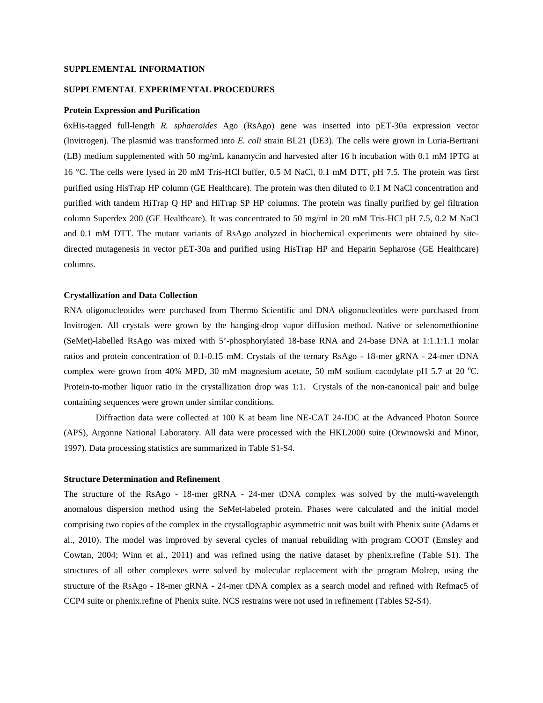### **SUPPLEMENTAL INFORMATION**

### **SUPPLEMENTAL EXPERIMENTAL PROCEDURES**

#### **Protein Expression and Purification**

6xHis-tagged full-length *R. sphaeroides* Ago (RsAgo) gene was inserted into pET-30a expression vector (Invitrogen). The plasmid was transformed into *E. coli* strain BL21 (DE3). The cells were grown in Luria-Bertrani (LB) medium supplemented with 50 mg/mL kanamycin and harvested after 16 h incubation with 0.1 mM IPTG at 16 °C. The cells were lysed in 20 mM Tris-HCl buffer, 0.5 M NaCl, 0.1 mM DTT, pH 7.5. The protein was first purified using HisTrap HP column (GE Healthcare). The protein was then diluted to 0.1 M NaCl concentration and purified with tandem HiTrap Q HP and HiTrap SP HP columns. The protein was finally purified by gel filtration column Superdex 200 (GE Healthcare). It was concentrated to 50 mg/ml in 20 mM Tris-HCl pH 7.5, 0.2 M NaCl and 0.1 mM DTT. The mutant variants of RsAgo analyzed in biochemical experiments were obtained by sitedirected mutagenesis in vector pET-30a and purified using HisTrap HP and Heparin Sepharose (GE Healthcare) columns.

#### **Crystallization and Data Collection**

RNA oligonucleotides were purchased from Thermo Scientific and DNA oligonucleotides were purchased from Invitrogen. All crystals were grown by the hanging-drop vapor diffusion method. Native or selenomethionine (SeMet)-labelled RsAgo was mixed with 5'-phosphorylated 18-base RNA and 24-base DNA at 1:1.1:1.1 molar ratios and protein concentration of 0.1-0.15 mM. Crystals of the ternary RsAgo - 18-mer gRNA - 24-mer tDNA complex were grown from 40% MPD, 30 mM magnesium acetate, 50 mM sodium cacodylate pH 5.7 at 20 °C. Protein-to-mother liquor ratio in the crystallization drop was 1:1. Crystals of the non-canonical pair and bulge containing sequences were grown under similar conditions.

Diffraction data were collected at 100 K at beam line NE-CAT 24-IDC at the Advanced Photon Source (APS), Argonne National Laboratory. All data were processed with the HKL2000 suite (Otwinowski and Minor, 1997). Data processing statistics are summarized in Table S1-S4.

### **Structure Determination and Refinement**

The structure of the RsAgo - 18-mer gRNA - 24-mer tDNA complex was solved by the multi-wavelength anomalous dispersion method using the SeMet-labeled protein. Phases were calculated and the initial model comprising two copies of the complex in the crystallographic asymmetric unit was built with Phenix suite (Adams et al., 2010). The model was improved by several cycles of manual rebuilding with program COOT (Emsley and Cowtan, 2004; Winn et al., 2011) and was refined using the native dataset by phenix.refine (Table S1). The structures of all other complexes were solved by molecular replacement with the program Molrep, using the structure of the RsAgo - 18-mer gRNA - 24-mer tDNA complex as a search model and refined with Refmac5 of CCP4 suite or phenix.refine of Phenix suite. NCS restrains were not used in refinement (Tables S2-S4).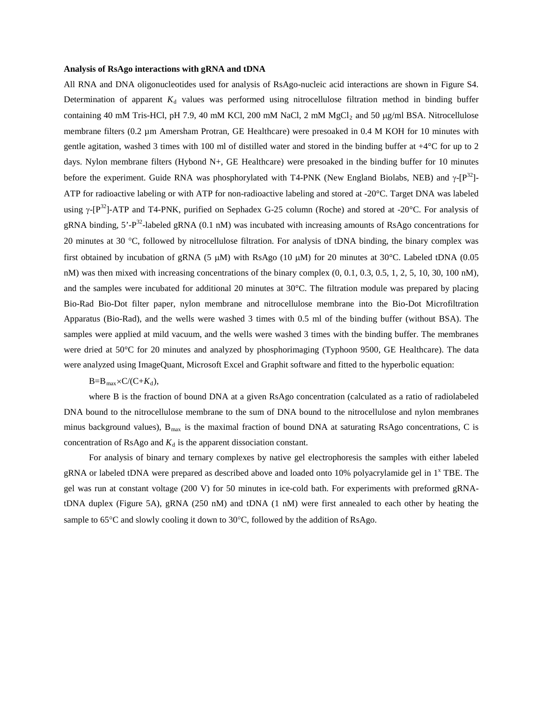### **Analysis of RsAgo interactions with gRNA and tDNA**

All RNA and DNA oligonucleotides used for analysis of RsAgo-nucleic acid interactions are shown in Figure S4. Determination of apparent  $K_d$  values was performed using nitrocellulose filtration method in binding buffer containing 40 mM Tris-HCl, pH 7.9, 40 mM KCl, 200 mM NaCl, 2 mM MgCl<sub>2</sub> and 50  $\mu$ g/ml BSA. Nitrocellulose membrane filters (0.2 µm Amersham Protran, GE Healthcare) were presoaked in 0.4 M KOH for 10 minutes with gentle agitation, washed 3 times with 100 ml of distilled water and stored in the binding buffer at  $+4^{\circ}$ C for up to 2 days. Nylon membrane filters (Hybond N+, GE Healthcare) were presoaked in the binding buffer for 10 minutes before the experiment. Guide RNA was phosphorylated with T4-PNK (New England Biolabs, NEB) and  $\gamma$ -[P<sup>32</sup>]-ATP for radioactive labeling or with ATP for non-radioactive labeling and stored at -20°C. Target DNA was labeled using γ-[P<sup>32</sup>]-ATP and T4-PNK, purified on Sephadex G-25 column (Roche) and stored at -20°C. For analysis of gRNA binding, 5'-P<sup>32</sup>-labeled gRNA (0.1 nM) was incubated with increasing amounts of RsAgo concentrations for 20 minutes at 30 °C, followed by nitrocellulose filtration. For analysis of tDNA binding, the binary complex was first obtained by incubation of gRNA (5  $\mu$ M) with RsAgo (10  $\mu$ M) for 20 minutes at 30°C. Labeled tDNA (0.05 nM) was then mixed with increasing concentrations of the binary complex (0, 0.1, 0.3, 0.5, 1, 2, 5, 10, 30, 100 nM), and the samples were incubated for additional 20 minutes at 30°C. The filtration module was prepared by placing Bio-Rad Bio-Dot filter paper, nylon membrane and nitrocellulose membrane into the Bio-Dot Microfiltration Apparatus (Bio-Rad), and the wells were washed 3 times with 0.5 ml of the binding buffer (without BSA). The samples were applied at mild vacuum, and the wells were washed 3 times with the binding buffer. The membranes were dried at 50°C for 20 minutes and analyzed by phosphorimaging (Typhoon 9500, GE Healthcare). The data were analyzed using ImageQuant, Microsoft Excel and Graphit software and fitted to the hyperbolic equation:

## $B=B_{\text{max}}\times C/(C+K_d),$

where B is the fraction of bound DNA at a given RsAgo concentration (calculated as a ratio of radiolabeled DNA bound to the nitrocellulose membrane to the sum of DNA bound to the nitrocellulose and nylon membranes minus background values),  $B_{\text{max}}$  is the maximal fraction of bound DNA at saturating RsAgo concentrations, C is concentration of RsAgo and  $K_d$  is the apparent dissociation constant.

For analysis of binary and ternary complexes by native gel electrophoresis the samples with either labeled gRNA or labeled tDNA were prepared as described above and loaded onto 10% polyacrylamide gel in  $1^x$  TBE. The gel was run at constant voltage (200 V) for 50 minutes in ice-cold bath. For experiments with preformed gRNAtDNA duplex (Figure 5A), gRNA (250 nM) and tDNA (1 nM) were first annealed to each other by heating the sample to 65°C and slowly cooling it down to 30°C, followed by the addition of RsAgo.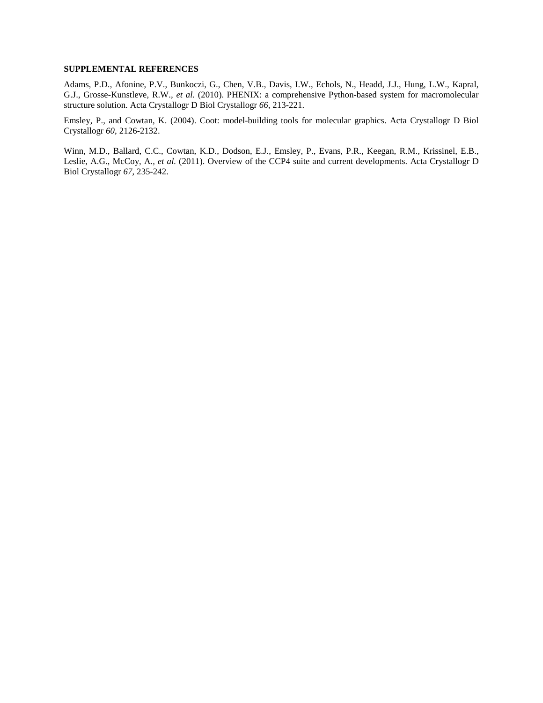## **SUPPLEMENTAL REFERENCES**

Adams, P.D., Afonine, P.V., Bunkoczi, G., Chen, V.B., Davis, I.W., Echols, N., Headd, J.J., Hung, L.W., Kapral, G.J., Grosse-Kunstleve, R.W.*, et al.* (2010). PHENIX: a comprehensive Python-based system for macromolecular structure solution. Acta Crystallogr D Biol Crystallogr *66*, 213-221.

Emsley, P., and Cowtan, K. (2004). Coot: model-building tools for molecular graphics. Acta Crystallogr D Biol Crystallogr *60*, 2126-2132.

Winn, M.D., Ballard, C.C., Cowtan, K.D., Dodson, E.J., Emsley, P., Evans, P.R., Keegan, R.M., Krissinel, E.B., Leslie, A.G., McCoy, A.*, et al.* (2011). Overview of the CCP4 suite and current developments. Acta Crystallogr D Biol Crystallogr *67*, 235-242.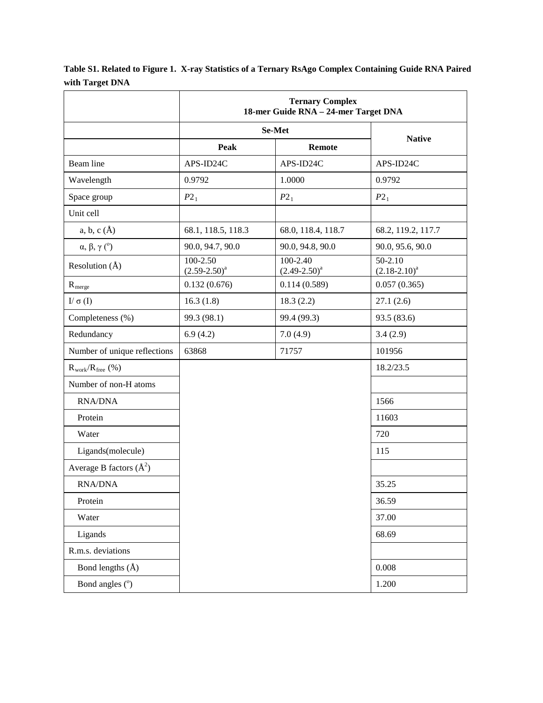|                              | <b>Ternary Complex</b><br>18-mer Guide RNA - 24-mer Target DNA |                               |                                |  |  |
|------------------------------|----------------------------------------------------------------|-------------------------------|--------------------------------|--|--|
|                              | Se-Met                                                         |                               |                                |  |  |
|                              | <b>Peak</b>                                                    | <b>Remote</b>                 | <b>Native</b>                  |  |  |
| Beam line                    | APS-ID24C                                                      | APS-ID24C                     | APS-ID24C                      |  |  |
| Wavelength                   | 0.9792                                                         | 1.0000                        | 0.9792                         |  |  |
| Space group                  | $P2_1$                                                         | $P2_1$                        | $P2_1$                         |  |  |
| Unit cell                    |                                                                |                               |                                |  |  |
| a, b, c $(\AA)$              | 68.1, 118.5, 118.3                                             | 68.0, 118.4, 118.7            | 68.2, 119.2, 117.7             |  |  |
| $\alpha, \beta, \gamma$ (°)  | 90.0, 94.7, 90.0                                               | 90.0, 94.8, 90.0              | 90.0, 95.6, 90.0               |  |  |
| Resolution $(\AA)$           | 100-2.50<br>$(2.59 - 2.50)^a$                                  | 100-2.40<br>$(2.49 - 2.50)^a$ | $50 - 2.10$<br>$(2.18-2.10)^a$ |  |  |
| $R_{merge}$                  | 0.132(0.676)                                                   | 0.114(0.589)                  | 0.057(0.365)                   |  |  |
| $I/\sigma(I)$                | 16.3(1.8)                                                      | 18.3(2.2)                     | 27.1(2.6)                      |  |  |
| Completeness (%)             | 99.3 (98.1)                                                    | 99.4 (99.3)                   | 93.5 (83.6)                    |  |  |
| Redundancy                   | 6.9(4.2)                                                       | 7.0(4.9)                      | 3.4(2.9)                       |  |  |
| Number of unique reflections | 63868                                                          | 71757                         | 101956                         |  |  |
| $R_{work}/R_{free}$ (%)      |                                                                |                               | 18.2/23.5                      |  |  |
| Number of non-H atoms        |                                                                |                               |                                |  |  |
| <b>RNA/DNA</b>               |                                                                |                               | 1566                           |  |  |
| Protein                      |                                                                |                               | 11603                          |  |  |
| Water                        |                                                                |                               | 720                            |  |  |
| Ligands(molecule)            |                                                                |                               | 115                            |  |  |
| Average B factors $(\AA^2)$  |                                                                |                               |                                |  |  |
| <b>RNA/DNA</b>               |                                                                |                               | 35.25                          |  |  |
| Protein                      |                                                                |                               | 36.59                          |  |  |
| Water                        |                                                                |                               | 37.00                          |  |  |
| Ligands                      |                                                                |                               | 68.69                          |  |  |
| R.m.s. deviations            |                                                                |                               |                                |  |  |
| Bond lengths $(\AA)$         |                                                                |                               | 0.008                          |  |  |
| Bond angles (°)              |                                                                |                               | 1.200                          |  |  |

**Table S1. Related to Figure 1. X-ray Statistics of a Ternary RsAgo Complex Containing Guide RNA Paired with Target DNA**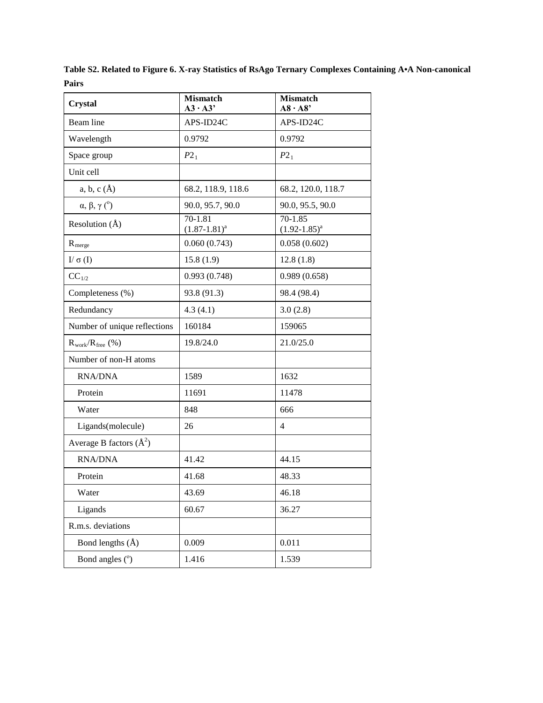**Table S2. Related to Figure 6. X-ray Statistics of RsAgo Ternary Complexes Containing A•A Non-canonical Pairs**

| <b>Crystal</b>               | <b>Mismatch</b><br>$A3 \cdot A3'$ | <b>Mismatch</b><br>$A8 \cdot A8'$ |
|------------------------------|-----------------------------------|-----------------------------------|
| Beam line                    | APS-ID24C                         | APS-ID24C                         |
| Wavelength                   | 0.9792                            | 0.9792                            |
| Space group                  | $P2_1$                            | $P2_1$                            |
| Unit cell                    |                                   |                                   |
| $a, b, c (\AA)$              | 68.2, 118.9, 118.6                | 68.2, 120.0, 118.7                |
| $\alpha, \beta, \gamma$ (°)  | 90.0, 95.7, 90.0                  | 90.0, 95.5, 90.0                  |
| Resolution $(\AA)$           | 70-1.81<br>$(1.87 - 1.81)^a$      | 70-1.85<br>$(1.92 - 1.85)^a$      |
| $R_{merge}$                  | 0.060(0.743)                      | 0.058(0.602)                      |
| $I/\sigma(I)$                | 15.8(1.9)                         | 12.8(1.8)                         |
| $CC_{1/2}$                   | 0.993(0.748)                      | 0.989(0.658)                      |
| Completeness (%)             | 93.8 (91.3)                       | 98.4 (98.4)                       |
| Redundancy                   | 4.3(4.1)                          | 3.0(2.8)                          |
| Number of unique reflections | 160184                            | 159065                            |
| $R_{work}/R_{free}$ (%)      | 19.8/24.0                         | 21.0/25.0                         |
| Number of non-H atoms        |                                   |                                   |
| <b>RNA/DNA</b>               | 1589                              | 1632                              |
| Protein                      | 11691                             | 11478                             |
| Water                        | 848                               | 666                               |
| Ligands(molecule)            | 26                                | 4                                 |
| Average B factors $(\AA^2)$  |                                   |                                   |
| <b>RNA/DNA</b>               | 41.42                             | 44.15                             |
| Protein                      | 41.68                             | 48.33                             |
| Water                        | 43.69                             | 46.18                             |
| Ligands                      | 60.67                             | 36.27                             |
| R.m.s. deviations            |                                   |                                   |
| Bond lengths $(\AA)$         | 0.009                             | 0.011                             |
| Bond angles $(°)$            | 1.416                             | 1.539                             |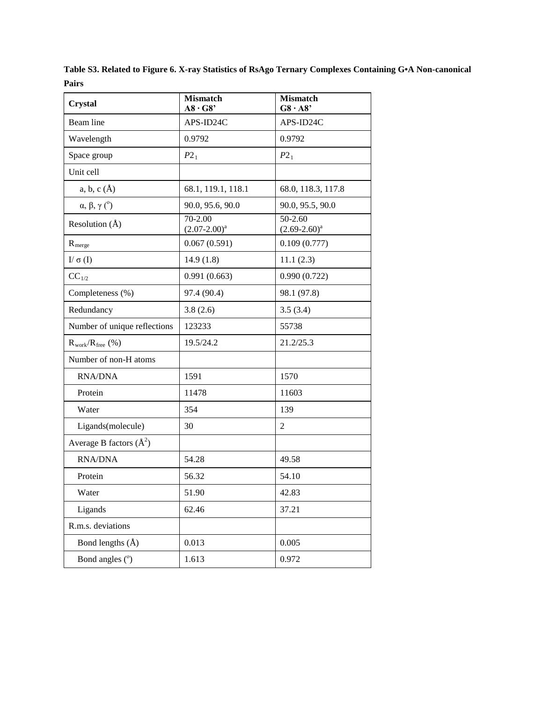**Table S3. Related to Figure 6. X-ray Statistics of RsAgo Ternary Complexes Containing G•A Non-canonical Pairs**

| <b>Crystal</b>               | <b>Mismatch</b><br>A8.68'    | <b>Mismatch</b><br>$G8 \cdot A8'$ |
|------------------------------|------------------------------|-----------------------------------|
| Beam line                    | APS-ID24C                    | APS-ID24C                         |
| Wavelength                   | 0.9792                       | 0.9792                            |
| Space group                  | $P2_1$                       | $P2_1$                            |
| Unit cell                    |                              |                                   |
| $a, b, c (\AA)$              | 68.1, 119.1, 118.1           | 68.0, 118.3, 117.8                |
| $\alpha, \beta, \gamma$ (°)  | 90.0, 95.6, 90.0             | 90.0, 95.5, 90.0                  |
| Resolution $(\AA)$           | 70-2.00<br>$(2.07 - 2.00)^a$ | 50-2.60<br>$(2.69-2.60)^a$        |
| $R_{merge}$                  | 0.067(0.591)                 | 0.109(0.777)                      |
| $I/\sigma(I)$                | 14.9(1.8)                    | 11.1(2.3)                         |
| $CC_{1/2}$                   | 0.991(0.663)                 | 0.990(0.722)                      |
| Completeness (%)             | 97.4 (90.4)                  | 98.1 (97.8)                       |
| Redundancy                   | 3.8(2.6)                     | 3.5(3.4)                          |
| Number of unique reflections | 123233                       | 55738                             |
| $R_{work}/R_{free}$ (%)      | 19.5/24.2                    | 21.2/25.3                         |
| Number of non-H atoms        |                              |                                   |
| <b>RNA/DNA</b>               | 1591                         | 1570                              |
| Protein                      | 11478                        | 11603                             |
| Water                        | 354                          | 139                               |
| Ligands(molecule)            | 30                           | 2                                 |
| Average B factors $(\AA^2)$  |                              |                                   |
| <b>RNA/DNA</b>               | 54.28                        | 49.58                             |
| Protein                      | 56.32                        | 54.10                             |
| Water                        | 51.90                        | 42.83                             |
| Ligands                      | 62.46                        | 37.21                             |
| R.m.s. deviations            |                              |                                   |
| Bond lengths $(\AA)$         | 0.013                        | 0.005                             |
| Bond angles $(°)$            | 1.613                        | 0.972                             |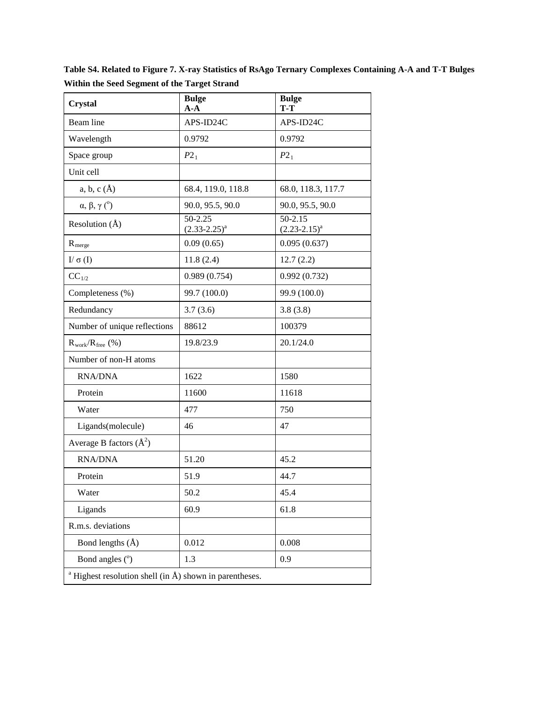**Table S4. Related to Figure 7. X-ray Statistics of RsAgo Ternary Complexes Containing A-A and T-T Bulges Within the Seed Segment of the Target Strand**

| <b>Crystal</b>                                                          | <b>Bulge</b><br>$A - A$      | <b>Bulge</b><br>T-T              |
|-------------------------------------------------------------------------|------------------------------|----------------------------------|
| Beam line                                                               | APS-ID24C                    | APS-ID24C                        |
| Wavelength                                                              | 0.9792                       | 0.9792                           |
| Space group                                                             | $P2_1$                       | $P2_1$                           |
| Unit cell                                                               |                              |                                  |
| $a, b, c (\AA)$                                                         | 68.4, 119.0, 118.8           | 68.0, 118.3, 117.7               |
| $\alpha, \beta, \gamma$ (°)                                             | 90.0, 95.5, 90.0             | 90.0, 95.5, 90.0                 |
| Resolution $(\AA)$                                                      | 50-2.25<br>$(2.33 - 2.25)^a$ | $50 - 2.15$<br>$(2.23 - 2.15)^a$ |
| $R_{merge}$                                                             | 0.09(0.65)                   | 0.095(0.637)                     |
| $I/\sigma(I)$                                                           | 11.8(2.4)                    | 12.7(2.2)                        |
| $CC_{1/2}$                                                              | 0.989(0.754)                 | 0.992(0.732)                     |
| Completeness (%)                                                        | 99.7 (100.0)                 | 99.9 (100.0)                     |
| Redundancy                                                              | 3.7(3.6)                     | 3.8(3.8)                         |
| Number of unique reflections                                            | 88612                        | 100379                           |
| $R_{work}/R_{free}$ (%)                                                 | 19.8/23.9                    | 20.1/24.0                        |
| Number of non-H atoms                                                   |                              |                                  |
| <b>RNA/DNA</b>                                                          | 1622                         | 1580                             |
| Protein                                                                 | 11600                        | 11618                            |
| Water                                                                   | 477                          | 750                              |
| Ligands(molecule)                                                       | 46                           | 47                               |
| Average B factors $(\AA^2)$                                             |                              |                                  |
| <b>RNA/DNA</b>                                                          | 51.20                        | 45.2                             |
| Protein                                                                 | 51.9                         | 44.7                             |
| Water                                                                   | 50.2                         | 45.4                             |
| Ligands                                                                 | 60.9                         | 61.8                             |
| R.m.s. deviations                                                       |                              |                                  |
| Bond lengths $(\AA)$                                                    | 0.012                        | 0.008                            |
| Bond angles $(°)$                                                       | 1.3                          | 0.9                              |
| <sup>a</sup> Highest resolution shell (in $\AA$ ) shown in parentheses. |                              |                                  |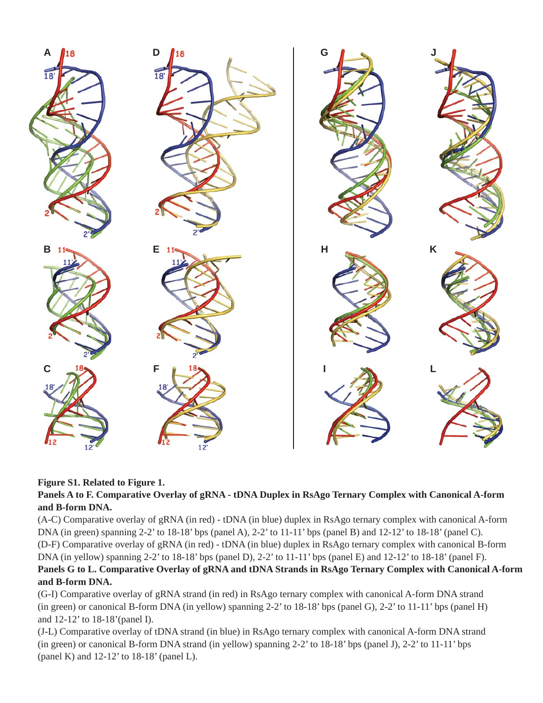

# **Figure S1. Related to Figure 1.**

## **Panels A to F. Comparative Overlay of gRNA - tDNA Duplex in RsAgo Ternary Complex with Canonical A-form and B-form DNA.**

(A-C) Comparative overlay of gRNA (in red) - tDNA (in blue) duplex in RsAgo ternary complex with canonical A-form DNA (in green) spanning 2-2' to 18-18' bps (panel A), 2-2' to 11-11' bps (panel B) and 12-12' to 18-18' (panel C). (D-F) Comparative overlay of gRNA (in red) - tDNA (in blue) duplex in RsAgo ternary complex with canonical B-form DNA (in yellow) spanning 2-2' to 18-18' bps (panel D), 2-2' to 11-11' bps (panel E) and 12-12' to 18-18' (panel F). **Panels G to L. Comparative Overlay of gRNA and tDNA Strands in RsAgo Ternary Complex with Canonical A-form and B-form DNA.**

(G-I) Comparative overlay of gRNA strand (in red) in RsAgo ternary complex with canonical A-form DNA strand (in green) or canonical B-form DNA (in yellow) spanning 2-2' to 18-18' bps (panel G), 2-2' to 11-11' bps (panel H) and 12-12' to 18-18'(panel I).

(J-L) Comparative overlay of tDNA strand (in blue) in RsAgo ternary complex with canonical A-form DNA strand (in green) or canonical B-form DNA strand (in yellow) spanning 2-2' to 18-18' bps (panel J), 2-2' to 11-11' bps (panel K) and 12-12' to 18-18' (panel L).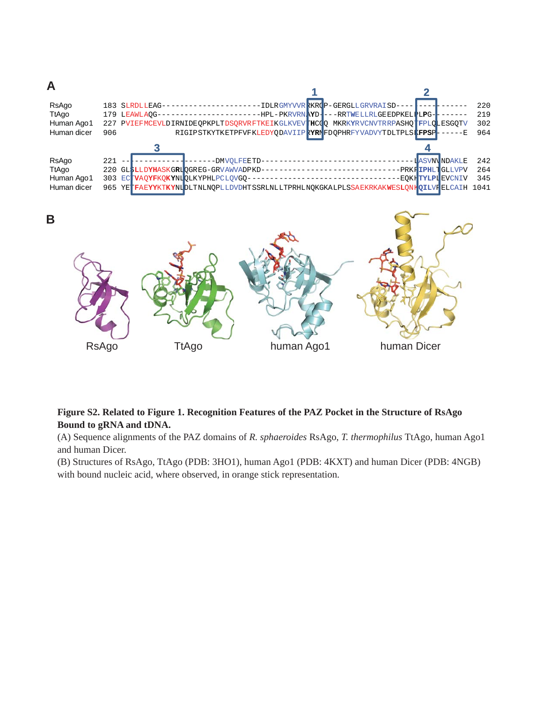

RsAgo TtAgo human Ago1 human Dicer

# **Figure S2. Related to Figure 1. Recognition Features of the PAZ Pocket in the Structure of RsAgo Bound to gRNA and tDNA.**

(A) Sequence alignments of the PAZ domains of *R. sphaeroides* RsAgo, *T. thermophilus* TtAgo, human Ago1 and human Dicer.

(B) Structures of RsAgo, TtAgo (PDB: 3HO1), human Ago1 (PDB: 4KXT) and human Dicer (PDB: 4NGB) with bound nucleic acid, where observed, in orange stick representation.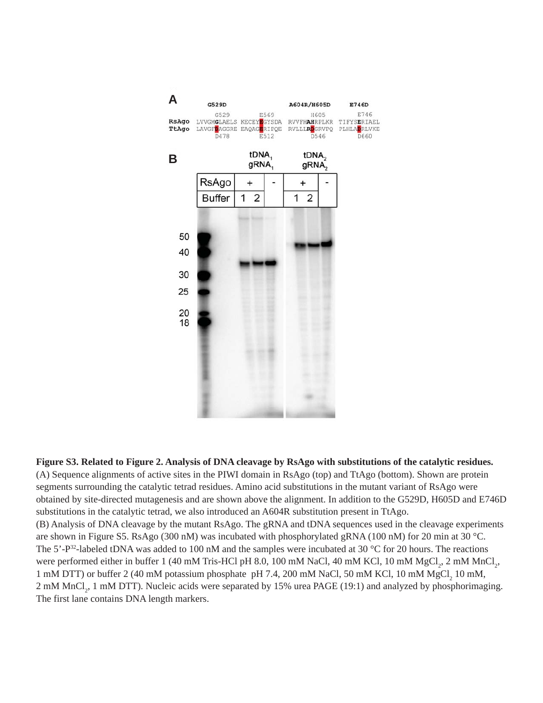

**Figure S3. Related to Figure 2. Analysis of DNA cleavage by RsAgo with substitutions of the catalytic residues.**  (A) Sequence alignments of active sites in the PIWI domain in RsAgo (top) and TtAgo (bottom). Shown are protein segments surrounding the catalytic tetrad residues. Amino acid substitutions in the mutant variant of RsAgo were obtained by site-directed mutagenesis and are shown above the alignment. In addition to the G529D, H605D and E746D substitutions in the catalytic tetrad, we also introduced an A604R substitution present in TtAgo. (B) Analysis of DNA cleavage by the mutant RsAgo. The gRNA and tDNA sequences used in the cleavage experiments are shown in Figure S5. RsAgo (300 nM) was incubated with phosphorylated gRNA (100 nM) for 20 min at 30 °C. The 5'-P<sup>32</sup>-labeled tDNA was added to 100 nM and the samples were incubated at 30 °C for 20 hours. The reactions were performed either in buffer 1 (40 mM Tris-HCl pH 8.0, 100 mM NaCl, 40 mM KCl, 10 mM MgCl<sub>2</sub>, 2 mM MnCl<sub>2</sub>, 1 mM DTT) or buffer 2 (40 mM potassium phosphate pH 7.4, 200 mM NaCl, 50 mM KCl, 10 mM  $MgCl<sub>2</sub>$  10 mM, 2 mM MnCl<sub>2</sub>, 1 mM DTT). Nucleic acids were separated by 15% urea PAGE (19:1) and analyzed by phosphorimaging. The first lane contains DNA length markers.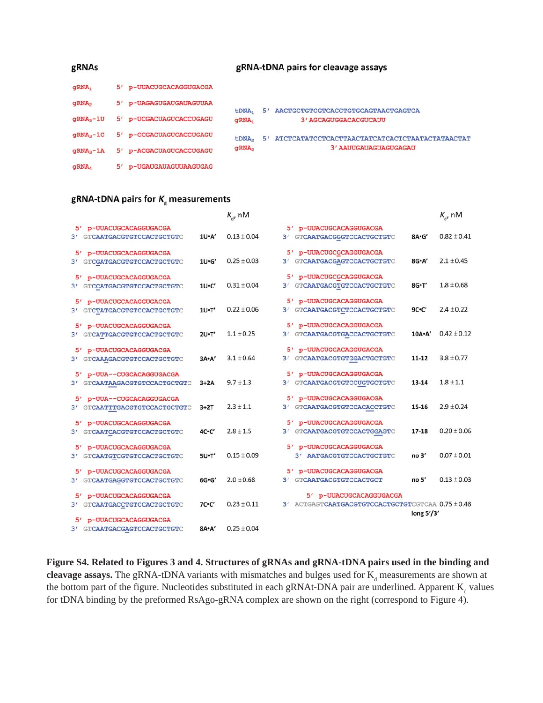| gRNAs             |  |                         | gRNA-tDNA pairs for cleavage assays |                |                                                |  |
|-------------------|--|-------------------------|-------------------------------------|----------------|------------------------------------------------|--|
| qRNA <sub>1</sub> |  | 5' p-UUACUGCACAGGUGACGA |                                     |                |                                                |  |
| qRNA <sub>2</sub> |  | 5' p-UAGAGUGAUGAUAGUUAA | tDNA,                               | 5'             | AACTGCTGTCGTCACCTGTGCAGTAACTGAGTCA             |  |
| $qRNA3-1U$        |  | 5' p-UCGACUAGUCACCUGAGU | qRNA <sub>1</sub>                   |                | 3' AGCAGUGGACACGUCAUU                          |  |
| $qRNA3-1C$        |  | 5' p-CCGACUAGUCACCUGAGU | tDNA <sub>2</sub>                   | 5 <sup>1</sup> | ATCTCATATCCTCACTTAACTATCATCACTCTAATACTATAACTAT |  |
| $qRNA3-1A$        |  | 5' p-ACGACUAGUCACCUGAGU | gRNA <sub>2</sub>                   |                | 3' AAUUGAUAGUAGUGAGAU                          |  |
| aRNA.             |  | p-UGAUGAUAGUUAAGUGAG    |                                     |                |                                                |  |

# gRNA-tDNA pairs for  $K_d$  measurements

|                                  |               | $K_a$ , nM      |                                                   |                   | $K_{d}$ , nM    |
|----------------------------------|---------------|-----------------|---------------------------------------------------|-------------------|-----------------|
| 5' p-UUACUGCACAGGUGACGA          |               |                 | 5' p-UUACUGCACAGGUGACGA                           |                   |                 |
| 3' GTCAATGACGTGTCCACTGCTGTC      | 1U·A'         | $0.13 \pm 0.04$ | 3'<br>GTCAATGACGGGTCCACTGCTGTC                    | 8A·G'             | $0.82 \pm 0.41$ |
| 5' p-UUACUGCACAGGUGACGA          |               |                 | 5' p-UUACUGCGCAGGUGACGA                           |                   |                 |
| 3' GTCGATGACGTGTCCACTGCTGTC      | 1U·G'         | $0.25 \pm 0.03$ | 3' GTCAATGACGAGTCCACTGCTGTC                       | 8G·A'             | $2.1 \pm 0.45$  |
| 5' p-UUACUGCACAGGUGACGA          |               |                 | 5' p-UUACUGCGCAGGUGACGA                           |                   |                 |
| GTCCATGACGTGTCCACTGCTGTC<br>3'   | $1U-C'$       | $0.31 \pm 0.04$ | 3' GTCAATGACGTGTCCACTGCTGTC                       | 8G·T'             | $1.8 \pm 0.68$  |
| 51<br>p-UUACUGCACAGGUGACGA       |               |                 | 5' p-UUACUGCACAGGUGACGA                           |                   |                 |
| GTCTATGACGTGTCCACTGCTGTC<br>3'   | $1U - T'$     | $0.22 \pm 0.06$ | 3' GTCAATGACGTCTCCACTGCTGTC                       | $9C-C'$           | $2.4 \pm 0.22$  |
| p-UUACUGCACAGGUGACGA<br>5'       |               |                 | 5' p-UUACUGCACAGGUGACGA                           |                   |                 |
| 3' GTCATTGACGTGTCCACTGCTGTC      | 2U·T'         | $1.1 \pm 0.25$  | GTCAATGACGTGACCACTGCTGTC<br>3'                    | $10A \cdot A'$    | $0.42 \pm 0.12$ |
| p-UUACUGCACAGGUGACGA<br>5'       |               |                 | 5' p-UUACUGCACAGGUGACGA                           |                   |                 |
| GTCAAAGACGTGTCCACTGCTGTC<br>3'   | $3A \cdot A'$ | $3.1 \pm 0.64$  | GTCAATGACGTGTGGACTGCTGTC<br>3'                    | $11 - 12$         | $3.8 \pm 0.77$  |
| 5' p-UUA--CUGCACAGGUGACGA        |               |                 | 5' p-UUACUGCACAGGUGACGA                           |                   |                 |
| 3' GTCAATAAGACGTGTCCACTGCTGTC    | $3+2A$        | $9.7 \pm 1.3$   | 3' GTCAATGACGTGTCCUGTGCTGTC                       | $13 - 14$         | $1.8 \pm 1.1$   |
| 5' p-UUA--CUGCACAGGUGACGA        |               |                 | 5' p-UUACUGCACAGGUGACGA                           |                   |                 |
| GTCAATTTGACGTGTCCACTGCTGTC<br>3' | $3+2T$        | $2.3 \pm 1.1$   | 3' GTCAATGACGTGTCCACACCTGTC                       | $15 - 16$         | $2.9 \pm 0.24$  |
| p-UUACUGCACAGGUGACGA<br>5'       |               |                 | 5' p-UUACUGCACAGGUGACGA                           |                   |                 |
| GTCAATCACGTGTCCACTGCTGTC<br>3'   | $4C-C'$       | $2.8 \pm 1.5$   | 3' GTCAATGACGTGTCCACTGGAGTC                       | $17 - 18$         | $0.20 \pm 0.06$ |
| 5'<br>p-UUACUGCACAGGUGACGA       |               |                 | 5' p-UUACUGCACAGGUGACGA                           |                   |                 |
| 3' GTCAATGTCGTGTCCACTGCTGTC      | 5U·T'         | $0.15 \pm 0.09$ | 3' AATGACGTGTCCACTGCTGTC                          | no <sub>3</sub> ' | $0.07 \pm 0.01$ |
| p-UUACUGCACAGGUGACGA<br>51       |               |                 | 5' p-UUACUGCACAGGUGACGA                           |                   |                 |
| GTCAATGAGGTGTCCACTGCTGTC<br>3'   | 6G·G'         | $2.0 \pm 0.68$  | 3' GTCAATGACGTGTCCACTGCT                          | no <sub>5</sub> ' | $0.13 \pm 0.03$ |
| p-UUACUGCACAGGUGACGA<br>5'       |               |                 | 5' p-UUACUGCACAGGUGACGA                           |                   |                 |
| GTCAATGACCTGTCCACTGCTGTC<br>3'   | $7C-C'$       | $0.23 \pm 0.11$ | 3' ACTGAGTCAATGACGTGTCCACTGCTGTCGTCAA 0.75 ± 0.48 |                   |                 |
| 5' p-UUACUGCACAGGUGACGA          |               |                 |                                                   | long $5'/3'$      |                 |
| 3' GTCAATGACGAGTCCACTGCTGTC      | 8A·A'         | $0.25 \pm 0.04$ |                                                   |                   |                 |

**Figure S4. Related to Figures 3 and 4. Structures of gRNAs and gRNA-tDNA pairs used in the binding and cleavage assays.** The gRNA-tDNA variants with mismatches and bulges used for  $K_d$  measurements are shown at the bottom part of the figure. Nucleotides substituted in each gRNAt-DNA pair are underlined. Apparent  $K_d$  values for tDNA binding by the preformed RsAgo-gRNA complex are shown on the right (correspond to Figure 4).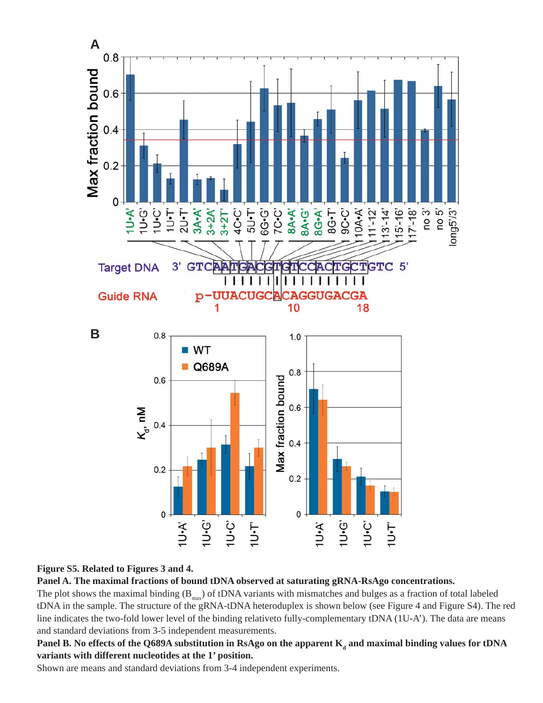

## **Figure S5. Related to Figures 3 and 4.**

**Panel A. The maximal fractions of bound tDNA observed at saturating gRNA-RsAgo concentrations.**

The plot shows the maximal binding  $(B_{max})$  of tDNA variants with mismatches and bulges as a fraction of total labeled tDNA in the sample. The structure of the gRNA-tDNA heteroduplex is shown below (see Figure 4 and Figure S4). The red line indicates the two-fold lower level of the binding relativeto fully-complementary tDNA (1U-A'). The data are means and standard deviations from 3-5 independent measurements.

Panel B. No effects of the Q689A substitution in RsAgo on the apparent  $\mathbf{K}_{_\text{d}}$  and maximal binding values for tDNA **variants with different nucleotides at the 1' position.**

Shown are means and standard deviations from 3-4 independent experiments.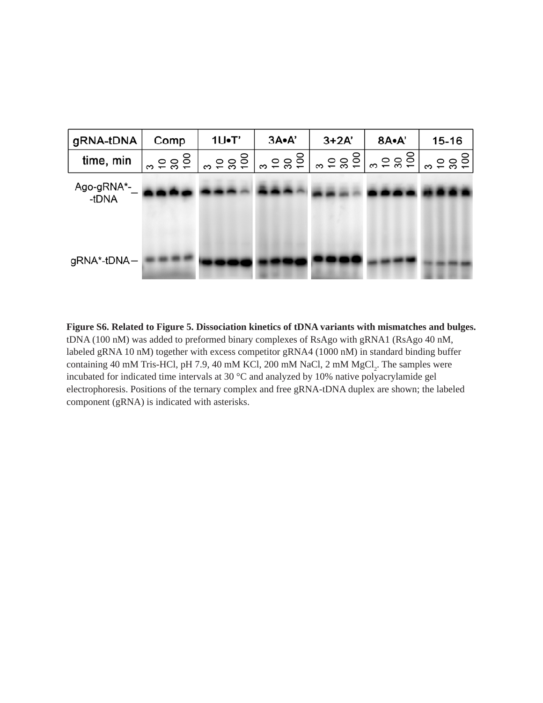

**Figure S6. Related to Figure 5. Dissociation kinetics of tDNA variants with mismatches and bulges.** tDNA (100 nM) was added to preformed binary complexes of RsAgo with gRNA1 (RsAgo 40 nM, labeled gRNA 10 nM) together with excess competitor gRNA4 (1000 nM) in standard binding buffer containing 40 mM Tris-HCl, pH 7.9, 40 mM KCl, 200 mM NaCl, 2 mM  $MgCl_2$ . The samples were incubated for indicated time intervals at 30 °C and analyzed by 10% native polyacrylamide gel electrophoresis. Positions of the ternary complex and free gRNA-tDNA duplex are shown; the labeled component (gRNA) is indicated with asterisks.